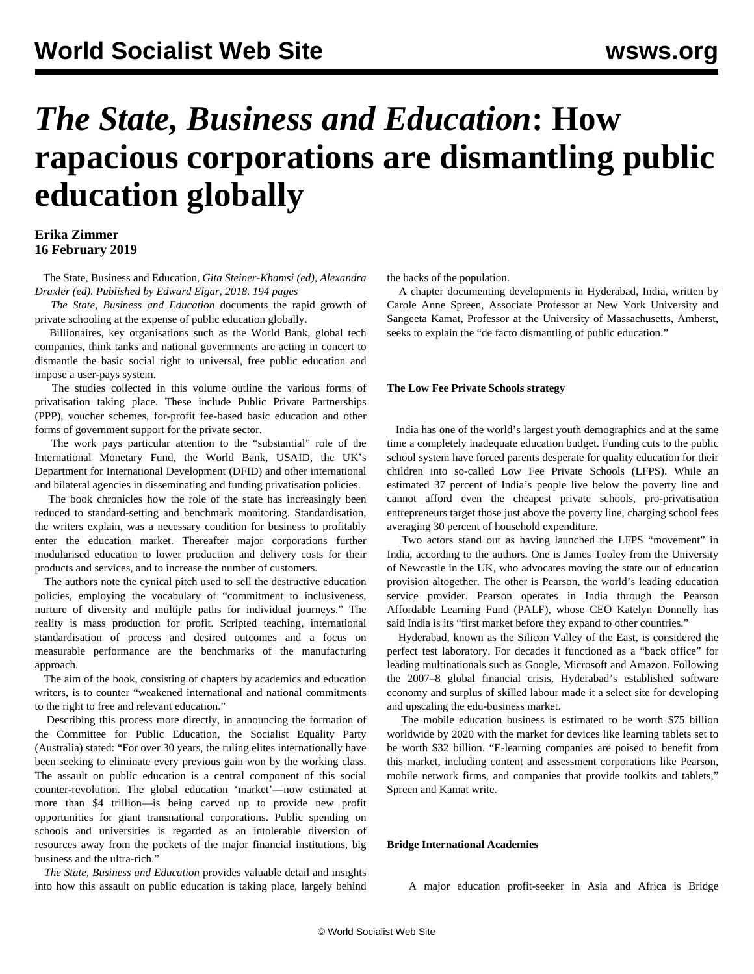# *The State, Business and Education***: How rapacious corporations are dismantling public education globally**

# **Erika Zimmer 16 February 2019**

 The State, Business and Education, *Gita Steiner-Khamsi (ed), Alexandra Draxler (ed). Published by Edward Elgar, 2018. 194 pages*

 *The State, Business and Education* documents the rapid growth of private schooling at the expense of public education globally.

 Billionaires, key organisations such as the World Bank, global tech companies, think tanks and national governments are acting in concert to dismantle the basic social right to universal, free public education and impose a user-pays system.

 The studies collected in this volume outline the various forms of privatisation taking place. These include Public Private Partnerships (PPP), voucher schemes, for-profit fee-based basic education and other forms of government support for the private sector.

 The work pays particular attention to the "substantial" role of the International Monetary Fund, the World Bank, USAID, the UK's Department for International Development (DFID) and other international and bilateral agencies in disseminating and funding privatisation policies.

 The book chronicles how the role of the state has increasingly been reduced to standard-setting and benchmark monitoring. Standardisation, the writers explain, was a necessary condition for business to profitably enter the education market. Thereafter major corporations further modularised education to lower production and delivery costs for their products and services, and to increase the number of customers.

 The authors note the cynical pitch used to sell the destructive education policies, employing the vocabulary of "commitment to inclusiveness, nurture of diversity and multiple paths for individual journeys." The reality is mass production for profit. Scripted teaching, international standardisation of process and desired outcomes and a focus on measurable performance are the benchmarks of the manufacturing approach.

 The aim of the book, consisting of chapters by academics and education writers, is to counter "weakened international and national commitments to the right to free and relevant education."

 Describing this process more directly, in announcing the formation of the Committee for Public Education, the Socialist Equality Party (Australia) [stated:](/en/articles/2017/10/27/cfpe-o27.html) "For over 30 years, the ruling elites internationally have been seeking to eliminate every previous gain won by the working class. The assault on public education is a central component of this social counter-revolution. The global education 'market'—now estimated at more than \$4 trillion—is being carved up to provide new profit opportunities for giant transnational corporations. Public spending on schools and universities is regarded as an intolerable diversion of resources away from the pockets of the major financial institutions, big business and the ultra-rich."

 *The State, Business and Education* provides valuable detail and insights into how this assault on public education is taking place, largely behind the backs of the population.

 A chapter documenting developments in Hyderabad, India, written by Carole Anne Spreen, Associate Professor at New York University and Sangeeta Kamat, Professor at the University of Massachusetts, Amherst, seeks to explain the "de facto dismantling of public education."

#### **The Low Fee Private Schools strategy**

 India has one of the world's largest youth demographics and at the same time a completely inadequate education budget. Funding cuts to the public school system have forced parents desperate for quality education for their children into so-called Low Fee Private Schools (LFPS). While an estimated 37 percent of India's people live below the poverty line and cannot afford even the cheapest private schools, pro-privatisation entrepreneurs target those just above the poverty line, charging school fees averaging 30 percent of household expenditure.

 Two actors stand out as having launched the LFPS "movement" in India, according to the authors. One is James Tooley from the University of Newcastle in the UK, who advocates moving the state out of education provision altogether. The other is Pearson, the world's leading education service provider. Pearson operates in India through the Pearson Affordable Learning Fund (PALF), whose CEO Katelyn Donnelly has said India is its "first market before they expand to other countries."

 Hyderabad, known as the Silicon Valley of the East, is considered the perfect test laboratory. For decades it functioned as a "back office" for leading multinationals such as Google, Microsoft and Amazon. Following the 2007–8 global financial crisis, Hyderabad's established software economy and surplus of skilled labour made it a select site for developing and upscaling the edu-business market.

 The mobile education business is estimated to be worth \$75 billion worldwide by 2020 with the market for devices like learning tablets set to be worth \$32 billion. "E-learning companies are poised to benefit from this market, including content and assessment corporations like Pearson, mobile network firms, and companies that provide toolkits and tablets," Spreen and Kamat write.

## **Bridge International Academies**

A major education profit-seeker in Asia and Africa is Bridge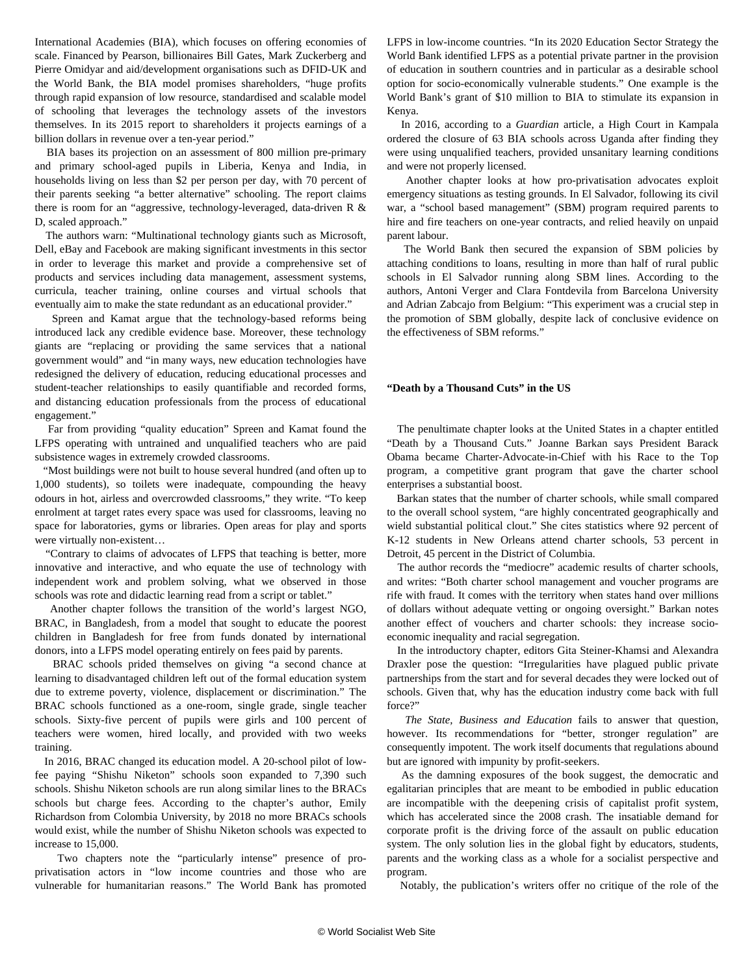International Academies (BIA), which focuses on offering economies of scale. Financed by Pearson, billionaires Bill Gates, Mark Zuckerberg and Pierre Omidyar and aid/development organisations such as DFID-UK and the World Bank, the BIA model promises shareholders, "huge profits through rapid expansion of low resource, standardised and scalable model of schooling that leverages the technology assets of the investors themselves. In its 2015 report to shareholders it projects earnings of a billion dollars in revenue over a ten-year period."

 BIA bases its projection on an assessment of 800 million pre-primary and primary school-aged pupils in Liberia, Kenya and India, in households living on less than \$2 per person per day, with 70 percent of their parents seeking "a better alternative" schooling. The report claims there is room for an "aggressive, technology-leveraged, data-driven R & D, scaled approach."

 The authors warn: "Multinational technology giants such as Microsoft, Dell, eBay and Facebook are making significant investments in this sector in order to leverage this market and provide a comprehensive set of products and services including data management, assessment systems, curricula, teacher training, online courses and virtual schools that eventually aim to make the state redundant as an educational provider."

 Spreen and Kamat argue that the technology-based reforms being introduced lack any credible evidence base. Moreover, these technology giants are "replacing or providing the same services that a national government would" and "in many ways, new education technologies have redesigned the delivery of education, reducing educational processes and student-teacher relationships to easily quantifiable and recorded forms, and distancing education professionals from the process of educational engagement."

 Far from providing "quality education" Spreen and Kamat found the LFPS operating with untrained and unqualified teachers who are paid subsistence wages in extremely crowded classrooms.

 "Most buildings were not built to house several hundred (and often up to 1,000 students), so toilets were inadequate, compounding the heavy odours in hot, airless and overcrowded classrooms," they write. "To keep enrolment at target rates every space was used for classrooms, leaving no space for laboratories, gyms or libraries. Open areas for play and sports were virtually non-existent…

 "Contrary to claims of advocates of LFPS that teaching is better, more innovative and interactive, and who equate the use of technology with independent work and problem solving, what we observed in those schools was rote and didactic learning read from a script or tablet."

 Another chapter follows the transition of the world's largest NGO, BRAC, in Bangladesh, from a model that sought to educate the poorest children in Bangladesh for free from funds donated by international donors, into a LFPS model operating entirely on fees paid by parents.

 BRAC schools prided themselves on giving "a second chance at learning to disadvantaged children left out of the formal education system due to extreme poverty, violence, displacement or discrimination." The BRAC schools functioned as a one-room, single grade, single teacher schools. Sixty-five percent of pupils were girls and 100 percent of teachers were women, hired locally, and provided with two weeks training.

 In 2016, BRAC changed its education model. A 20-school pilot of lowfee paying "Shishu Niketon" schools soon expanded to 7,390 such schools. Shishu Niketon schools are run along similar lines to the BRACs schools but charge fees. According to the chapter's author, Emily Richardson from Colombia University, by 2018 no more BRACs schools would exist, while the number of Shishu Niketon schools was expected to increase to 15,000.

 Two chapters note the "particularly intense" presence of proprivatisation actors in "low income countries and those who are vulnerable for humanitarian reasons." The World Bank has promoted LFPS in low-income countries. "In its 2020 Education Sector Strategy the World Bank identified LFPS as a potential private partner in the provision of education in southern countries and in particular as a desirable school option for socio-economically vulnerable students." One example is the World Bank's grant of \$10 million to BIA to stimulate its expansion in Kenya.

 In 2016, according to a *Guardian* article, a High Court in Kampala ordered the closure of 63 BIA schools across Uganda after finding they were using unqualified teachers, provided unsanitary learning conditions and were not properly licensed.

 Another chapter looks at how pro-privatisation advocates exploit emergency situations as testing grounds. In El Salvador, following its civil war, a "school based management" (SBM) program required parents to hire and fire teachers on one-year contracts, and relied heavily on unpaid parent labour.

 The World Bank then secured the expansion of SBM policies by attaching conditions to loans, resulting in more than half of rural public schools in El Salvador running along SBM lines. According to the authors, Antoni Verger and Clara Fontdevila from Barcelona University and Adrian Zabcajo from Belgium: "This experiment was a crucial step in the promotion of SBM globally, despite lack of conclusive evidence on the effectiveness of SBM reforms."

## **"Death by a Thousand Cuts" in the US**

 The penultimate chapter looks at the United States in a chapter entitled "Death by a Thousand Cuts." Joanne Barkan says President Barack Obama became Charter-Advocate-in-Chief with his Race to the Top program, a competitive grant program that gave the charter school enterprises a substantial boost.

 Barkan states that the number of charter schools, while small compared to the overall school system, "are highly concentrated geographically and wield substantial political clout." She cites statistics where 92 percent of K-12 students in New Orleans attend charter schools, 53 percent in Detroit, 45 percent in the District of Columbia.

 The author records the "mediocre" academic results of charter schools, and writes: "Both charter school management and voucher programs are rife with fraud. It comes with the territory when states hand over millions of dollars without adequate vetting or ongoing oversight." Barkan notes another effect of vouchers and charter schools: they increase socioeconomic inequality and racial segregation.

 In the introductory chapter, editors Gita Steiner-Khamsi and Alexandra Draxler pose the question: "Irregularities have plagued public private partnerships from the start and for several decades they were locked out of schools. Given that, why has the education industry come back with full force?"

 *The State, Business and Education* fails to answer that question, however. Its recommendations for "better, stronger regulation" are consequently impotent. The work itself documents that regulations abound but are ignored with impunity by profit-seekers.

 As the damning exposures of the book suggest, the democratic and egalitarian principles that are meant to be embodied in public education are incompatible with the deepening crisis of capitalist profit system, which has accelerated since the 2008 crash. The insatiable demand for corporate profit is the driving force of the assault on public education system. The only solution lies in the global fight by educators, students, parents and the working class as a whole for a socialist perspective and program.

Notably, the publication's writers offer no critique of the role of the